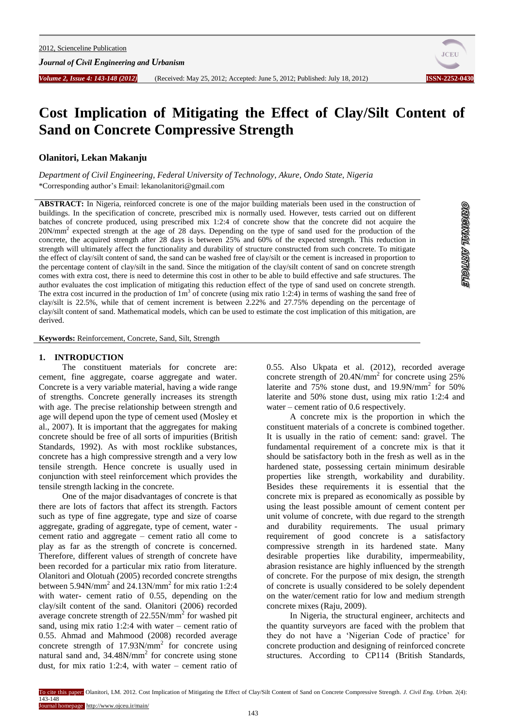*Journal of Civil Engineering and Urbanism*



**STONARY TRANOTEO** 

# **Cost Implication of Mitigating the Effect of Clay/Silt Content of Sand on Concrete Compressive Strength**

#### **Olanitori, Lekan Makanju**

*Department of Civil Engineering, Federal University of Technology, Akure, Ondo State, Nigeria* \*Corresponding author's Email: lekanolanitori@gmail.com

**ABSTRACT:** In Nigeria, reinforced concrete is one of the major building materials been used in the construction of buildings. In the specification of concrete, prescribed mix is normally used. However, tests carried out on different batches of concrete produced, using prescribed mix 1:2:4 of concrete show that the concrete did not acquire the 20N/mm<sup>2</sup> expected strength at the age of 28 days. Depending on the type of sand used for the production of the concrete, the acquired strength after 28 days is between 25% and 60% of the expected strength. This reduction in strength will ultimately affect the functionality and durability of structure constructed from such concrete. To mitigate the effect of clay/silt content of sand, the sand can be washed free of clay/silt or the cement is increased in proportion to the percentage content of clay/silt in the sand. Since the mitigation of the clay/silt content of sand on concrete strength comes with extra cost, there is need to determine this cost in other to be able to build effective and safe structures. The author evaluates the cost implication of mitigating this reduction effect of the type of sand used on concrete strength. The extra cost incurred in the production of  $\text{Im}^3$  of concrete (using mix ratio 1:2:4) in terms of washing the sand free of clay/silt is 22.5%, while that of cement increment is between 2.22% and 27.75% depending on the percentage of clay/silt content of sand. Mathematical models, which can be used to estimate the cost implication of this mitigation, are derived.

**Keywords:** Reinforcement, Concrete, Sand, Silt, Strength

#### **1. INTRODUCTION**

The constituent materials for concrete are: cement, fine aggregate, coarse aggregate and water. Concrete is a very variable material, having a wide range of strengths. Concrete generally increases its strength with age. The precise relationship between strength and age will depend upon the type of cement used (Mosley et al., 2007). It is important that the aggregates for making concrete should be free of all sorts of impurities (British Standards, 1992). As with most rocklike substances, concrete has a high compressive strength and a very low tensile strength. Hence concrete is usually used in conjunction with steel reinforcement which provides the tensile strength lacking in the concrete.

One of the major disadvantages of concrete is that there are lots of factors that affect its strength. Factors such as type of fine aggregate, type and size of coarse aggregate, grading of aggregate, type of cement, water cement ratio and aggregate – cement ratio all come to play as far as the strength of concrete is concerned. Therefore, different values of strength of concrete have been recorded for a particular mix ratio from literature. Olanitori and Olotuah (2005) recorded concrete strengths between  $5.94$ N/mm<sup>2</sup> and  $24.13$ N/mm<sup>2</sup> for mix ratio 1:2:4 with water- cement ratio of 0.55, depending on the clay/silt content of the sand. Olanitori (2006) recorded average concrete strength of  $22.55N/mm^2$  for washed pit sand, using mix ratio 1:2:4 with water – cement ratio of 0.55. Ahmad and Mahmood (2008) recorded average concrete strength of  $17.93N/mm^2$  for concrete using natural sand and, 34.48N/mm<sup>2</sup> for concrete using stone dust, for mix ratio 1:2:4, with water – cement ratio of 0.55. Also Ukpata et al. (2012), recorded average concrete strength of 20.4N/mm<sup>2</sup> for concrete using 25% laterite and  $75\%$  stone dust, and  $19.9N/mm^2$  for  $50\%$ laterite and 50% stone dust, using mix ratio 1:2:4 and water – cement ratio of 0.6 respectively.

A concrete mix is the proportion in which the constituent materials of a concrete is combined together. It is usually in the ratio of cement: sand: gravel. The fundamental requirement of a concrete mix is that it should be satisfactory both in the fresh as well as in the hardened state, possessing certain minimum desirable properties like strength, workability and durability. Besides these requirements it is essential that the concrete mix is prepared as economically as possible by using the least possible amount of cement content per unit volume of concrete, with due regard to the strength and durability requirements. The usual primary requirement of good concrete is a satisfactory compressive strength in its hardened state. Many desirable properties like durability, impermeability, abrasion resistance are highly influenced by the strength of concrete. For the purpose of mix design, the strength of concrete is usually considered to be solely dependent on the water/cement ratio for low and medium strength concrete mixes (Raju, 2009).

In Nigeria, the structural engineer, architects and the quantity surveyors are faced with the problem that they do not have a 'Nigerian Code of practice' for concrete production and designing of reinforced concrete structures. According to CP114 (British Standards,

To cite this paper: Olanitori, LM. 2012. Cost Implication of Mitigating the Effect of Clay/Silt Content of Sand on Concrete Compressive Strength. *J. Civil Eng. Urban.* 2(4): 143-148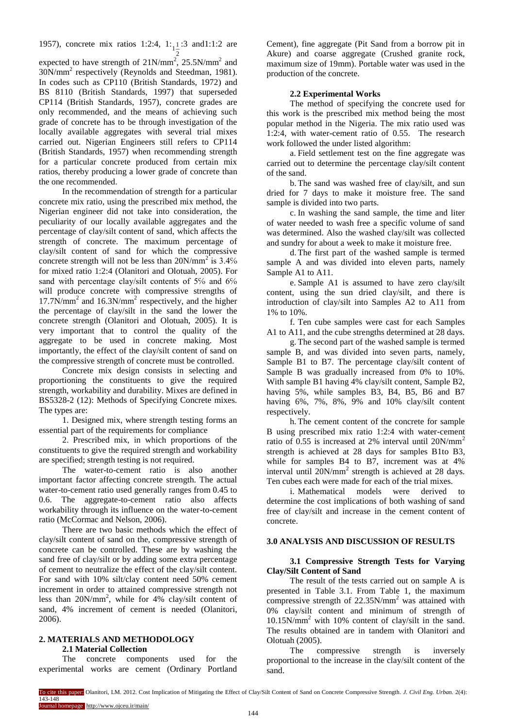1957), concrete mix ratios 1:2:4,  $1:\underset{1}{1}1$ :3 and1:1:2 are

expected to have strength of  $21N/mm^2$ ,  $25.5N/mm^2$  and 30N/mm<sup>2</sup> respectively (Reynolds and Steedman, 1981). In codes such as CP110 (British Standards, 1972) and BS 8110 (British Standards, 1997) that superseded CP114 (British Standards, 1957), concrete grades are only recommended, and the means of achieving such grade of concrete has to be through investigation of the locally available aggregates with several trial mixes carried out. Nigerian Engineers still refers to CP114 (British Standards, 1957) when recommending strength for a particular concrete produced from certain mix ratios, thereby producing a lower grade of concrete than the one recommended.

In the recommendation of strength for a particular concrete mix ratio, using the prescribed mix method, the Nigerian engineer did not take into consideration, the peculiarity of our locally available aggregates and the percentage of clay/silt content of sand, which affects the strength of concrete. The maximum percentage of clay/silt content of sand for which the compressive concrete strength will not be less than  $20N/mm^2$  is  $3.4%$ for mixed ratio 1:2:4 (Olanitori and Olotuah, 2005). For sand with percentage clay/silt contents of  $5\%$  and  $6\%$ will produce concrete with compressive strengths of 17.7N/mm<sup>2</sup> and 16.3N/mm<sup>2</sup> respectively, and the higher the percentage of clay/silt in the sand the lower the concrete strength (Olanitori and Olotuah, 2005). It is very important that to control the quality of the aggregate to be used in concrete making. Most importantly, the effect of the clay/silt content of sand on the compressive strength of concrete must be controlled.

Concrete mix design consists in selecting and proportioning the constituents to give the required strength, workability and durability. Mixes are defined in BS5328-2 (12): Methods of Specifying Concrete mixes. The types are:

1. Designed mix, where strength testing forms an essential part of the requirements for compliance

2. Prescribed mix, in which proportions of the constituents to give the required strength and workability are specified; strength testing is not required.

The water-to-cement ratio is also another important factor affecting concrete strength. The actual water-to-cement ratio used generally ranges from 0.45 to 0.6. The aggregate-to-cement ratio also affects workability through its influence on the water-to-cement ratio (McCormac and Nelson, 2006).

There are two basic methods which the effect of clay/silt content of sand on the, compressive strength of concrete can be controlled. These are by washing the sand free of clay/silt or by adding some extra percentage of cement to neutralize the effect of the clay/silt content. For sand with 10% silt/clay content need 50% cement increment in order to attained compressive strength not less than  $20N/mm^2$ , while for  $4\%$  clay/silt content of sand, 4% increment of cement is needed (Olanitori, 2006).

### **2. MATERIALS AND METHODOLOGY 2.1 Material Collection**

The concrete components used for the experimental works are cement (Ordinary Portland Cement), fine aggregate (Pit Sand from a borrow pit in Akure) and coarse aggregate (Crushed granite rock, maximum size of 19mm). Portable water was used in the production of the concrete.

#### **2.2 Experimental Works**

The method of specifying the concrete used for this work is the prescribed mix method being the most popular method in the Nigeria. The mix ratio used was 1:2:4, with water-cement ratio of 0.55. The research work followed the under listed algorithm:

a. Field settlement test on the fine aggregate was carried out to determine the percentage clay/silt content of the sand.

b.The sand was washed free of clay/silt, and sun dried for 7 days to make it moisture free. The sand sample is divided into two parts.

c. In washing the sand sample, the time and liter of water needed to wash free a specific volume of sand was determined. Also the washed clay/silt was collected and sundry for about a week to make it moisture free.

d.The first part of the washed sample is termed sample A and was divided into eleven parts, namely Sample A1 to A11.

e. Sample A1 is assumed to have zero clay/silt content, using the sun dried clay/silt, and there is introduction of clay/silt into Samples A2 to A11 from 1% to 10%.

f. Ten cube samples were cast for each Samples A1 to A11, and the cube strengths determined at 28 days.

g. The second part of the washed sample is termed sample B, and was divided into seven parts, namely, Sample B1 to B7. The percentage clay/silt content of Sample B was gradually increased from 0% to 10%. With sample B1 having 4% clay/silt content, Sample B2, having 5%, while samples B3, B4, B5, B6 and B7 having 6%, 7%, 8%, 9% and 10% clay/silt content respectively.

h. The cement content of the concrete for sample B using prescribed mix ratio 1:2:4 with water-cement ratio of 0.55 is increased at 2% interval until  $20N/mm^2$ strength is achieved at 28 days for samples B1to B3, while for samples B4 to B7, increment was at 4% interval until  $20N/mm^2$  strength is achieved at 28 days. Ten cubes each were made for each of the trial mixes.

i. Mathematical models were derived to determine the cost implications of both washing of sand free of clay/silt and increase in the cement content of concrete.

#### **3.0 ANALYSIS AND DISCUSSION OF RESULTS**

#### **3.1 Compressive Strength Tests for Varying Clay/Silt Content of Sand**

The result of the tests carried out on sample A is presented in Table 3.1. From Table 1, the maximum compressive strength of  $22.35N/mm^2$  was attained with 0% clay/silt content and minimum of strength of  $10.15N/mm^2$  with 10% content of clay/silt in the sand. The results obtained are in tandem with Olanitori and Olotuah (2005).

The compressive strength is inversely proportional to the increase in the clay/silt content of the sand.

To cite this paper: Olanitori, LM. 2012. Cost Implication of Mitigating the Effect of Clay/Silt Content of Sand on Concrete Compressive Strength. *J. Civil Eng. Urban.* 2(4): 143-148 Journal homepage: http://www.ojceu.ir/main/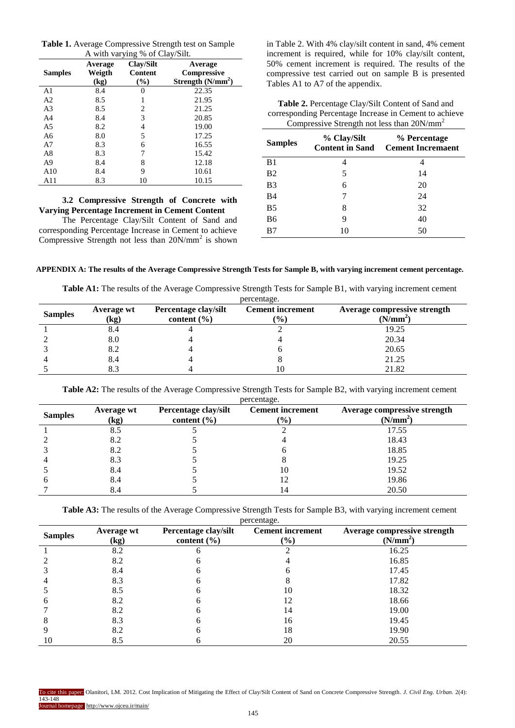| A with varying % of Clay/Silt. |                           |                             |                                              |  |
|--------------------------------|---------------------------|-----------------------------|----------------------------------------------|--|
| <b>Samples</b>                 | Average<br>Weigth<br>(kg) | Clay/Silt<br>Content<br>(%) | Average<br>Compressive<br>Strength $(N/mm2)$ |  |
| A1                             | 8.4                       | 0                           | 22.35                                        |  |
| A <sub>2</sub>                 | 8.5                       |                             | 21.95                                        |  |
| A <sub>3</sub>                 | 8.5                       | 2                           | 21.25                                        |  |
| A <sub>4</sub>                 | 8.4                       | 3                           | 20.85                                        |  |
| A <sub>5</sub>                 | 8.2                       | 4                           | 19.00                                        |  |
| A6                             | 8.0                       | 5                           | 17.25                                        |  |
| A7                             | 8.3                       | 6                           | 16.55                                        |  |
| A8                             | 8.3                       | 7                           | 15.42                                        |  |
| A <sub>9</sub>                 | 8.4                       | 8                           | 12.18                                        |  |
| A10                            | 8.4                       | 9                           | 10.61                                        |  |
| A11                            | 8.3                       | 10                          | 10.15                                        |  |

**Table 1.** Average Compressive Strength test on Sample

#### **3.2 Compressive Strength of Concrete with Varying Percentage Increment in Cement Content**

The Percentage Clay/Silt Content of Sand and corresponding Percentage Increase in Cement to achieve Compressive Strength not less than 20N/mm<sup>2</sup> is shown in Table 2. With 4% clay/silt content in sand, 4% cement increment is required, while for 10% clay/silt content, 50% cement increment is required. The results of the compressive test carried out on sample B is presented Tables A1 to A7 of the appendix.

| Table 2. Percentage Clay/Silt Content of Sand and      |
|--------------------------------------------------------|
| corresponding Percentage Increase in Cement to achieve |
| Compressive Strength not less than $20N/mm^2$          |

| <b>Samples</b> | % Clay/Silt<br><b>Content in Sand</b> | % Percentage<br><b>Cement Incremaent</b> |
|----------------|---------------------------------------|------------------------------------------|
| B1             |                                       |                                          |
| B <sub>2</sub> | 5                                     | 14                                       |
| B <sub>3</sub> | 6                                     | 20                                       |
| <b>B4</b>      |                                       | 24                                       |
| B <sub>5</sub> | 8                                     | 32                                       |
| <b>B6</b>      | 9                                     | 40                                       |
| B7             | 10                                    | 50                                       |

#### **APPENDIX A: The results of the Average Compressive Strength Tests for Sample B, with varying increment cement percentage.**

**Table A1:** The results of the Average Compressive Strength Tests for Sample B1, with varying increment cement percentage.

| <b>Samples</b> | Average wt<br>(kg) | Percentage clay/silt<br>content $(\% )$ | <b>Cement increment</b><br>(%) | Average compressive strength<br>(N/mm <sup>2</sup> ) |
|----------------|--------------------|-----------------------------------------|--------------------------------|------------------------------------------------------|
|                | 8.4                |                                         |                                | 19.25                                                |
|                | 8.0                |                                         |                                | 20.34                                                |
|                | 8.2                |                                         |                                | 20.65                                                |
|                | 8.4                |                                         |                                | 21.25                                                |
|                |                    |                                         | 10                             | 21.82                                                |

**Table A2:** The results of the Average Compressive Strength Tests for Sample B2, with varying increment cement

| percentage.    |                    |                                         |                                          |                                                      |
|----------------|--------------------|-----------------------------------------|------------------------------------------|------------------------------------------------------|
| <b>Samples</b> | Average wt<br>(kg) | Percentage clay/silt<br>content $(\% )$ | <b>Cement increment</b><br>$\frac{9}{6}$ | Average compressive strength<br>(N/mm <sup>2</sup> ) |
|                | 8.5                |                                         |                                          | 17.55                                                |
|                | 8.2                |                                         |                                          | 18.43                                                |
|                | 8.2                |                                         |                                          | 18.85                                                |
|                | 8.3                |                                         |                                          | 19.25                                                |
|                | 8.4                |                                         | 10                                       | 19.52                                                |
|                | 8.4                |                                         |                                          | 19.86                                                |
|                | 8.4                |                                         | 14                                       | 20.50                                                |

**Table A3:** The results of the Average Compressive Strength Tests for Sample B3, with varying increment cement

| percentage.    |                    |                                         |                                   |                                                      |
|----------------|--------------------|-----------------------------------------|-----------------------------------|------------------------------------------------------|
| <b>Samples</b> | Average wt<br>(kg) | Percentage clay/silt<br>content $(\% )$ | <b>Cement increment</b><br>$(\%)$ | Average compressive strength<br>(N/mm <sup>2</sup> ) |
|                | 8.2                |                                         |                                   | 16.25                                                |
|                | 8.2                |                                         |                                   | 16.85                                                |
|                | 8.4                |                                         |                                   | 17.45                                                |
|                | 8.3                |                                         |                                   | 17.82                                                |
|                | 8.5                |                                         | 10                                | 18.32                                                |
| n              | 8.2                |                                         | 12                                | 18.66                                                |
|                | 8.2                |                                         | 14                                | 19.00                                                |
|                | 8.3                |                                         | 16                                | 19.45                                                |
|                | 8.2                |                                         | 18                                | 19.90                                                |
| 10             | 8.5                |                                         | 20                                | 20.55                                                |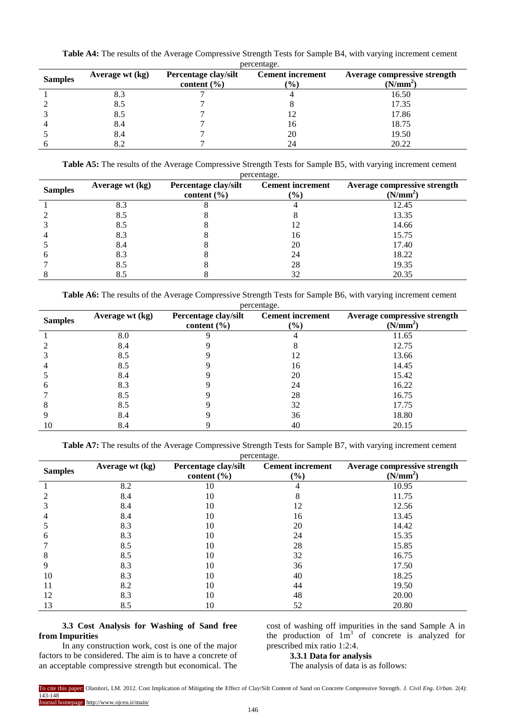| percentage.    |                 |                                         |                                   |                                                      |
|----------------|-----------------|-----------------------------------------|-----------------------------------|------------------------------------------------------|
| <b>Samples</b> | Average wt (kg) | Percentage clay/silt<br>content $(\% )$ | <b>Cement increment</b><br>$(\%)$ | Average compressive strength<br>(N/mm <sup>2</sup> ) |
|                | 8.3             |                                         |                                   | 16.50                                                |
|                | 8.5             |                                         |                                   | 17.35                                                |
|                | 8.5             |                                         |                                   | 17.86                                                |
| $\overline{4}$ | 8.4             |                                         | 16                                | 18.75                                                |
|                | 8.4             |                                         | 20                                | 19.50                                                |
|                | 8.2             |                                         | 24                                | 20.22                                                |

**Table A4:** The results of the Average Compressive Strength Tests for Sample B4, with varying increment cement

**Table A5:** The results of the Average Compressive Strength Tests for Sample B5, with varying increment cement

| percentage.    |                 |                                         |                                          |                                                      |
|----------------|-----------------|-----------------------------------------|------------------------------------------|------------------------------------------------------|
| <b>Samples</b> | Average wt (kg) | Percentage clay/silt<br>content $(\% )$ | <b>Cement increment</b><br>$\frac{1}{2}$ | Average compressive strength<br>(N/mm <sup>2</sup> ) |
|                | 8.3             |                                         |                                          | 12.45                                                |
|                | 8.5             |                                         |                                          | 13.35                                                |
|                | 8.5             |                                         |                                          | 14.66                                                |
|                | 8.3             |                                         | 16                                       | 15.75                                                |
|                | 8.4             |                                         | 20                                       | 17.40                                                |
|                | 8.3             |                                         | 24                                       | 18.22                                                |
|                | 8.5             |                                         | 28                                       | 19.35                                                |
|                | 8.5             |                                         | 32                                       | 20.35                                                |

**Table A6:** The results of the Average Compressive Strength Tests for Sample B6, with varying increment cement percentage

| <b>Samples</b> | Average wt (kg) | Percentage clay/silt<br>content $(\% )$ | <b>Cement increment</b><br>$(\%)$ | Average compressive strength<br>(N/mm <sup>2</sup> ) |
|----------------|-----------------|-----------------------------------------|-----------------------------------|------------------------------------------------------|
|                | 8.0             |                                         |                                   | 11.65                                                |
|                | 8.4             |                                         |                                   | 12.75                                                |
|                | 8.5             |                                         | 12                                | 13.66                                                |
|                | 8.5             |                                         | 16                                | 14.45                                                |
|                | 8.4             |                                         | 20                                | 15.42                                                |
| O              | 8.3             |                                         | 24                                | 16.22                                                |
|                | 8.5             |                                         | 28                                | 16.75                                                |
| 8              | 8.5             |                                         | 32                                | 17.75                                                |
|                | 8.4             |                                         | 36                                | 18.80                                                |
| 10             | 8.4             |                                         | 40                                | 20.15                                                |

**Table A7:** The results of the Average Compressive Strength Tests for Sample B7, with varying increment cement

| percentage.    |                 |                                         |                                |                                                      |
|----------------|-----------------|-----------------------------------------|--------------------------------|------------------------------------------------------|
| <b>Samples</b> | Average wt (kg) | Percentage clay/silt<br>content $(\% )$ | <b>Cement</b> increment<br>(%) | Average compressive strength<br>(N/mm <sup>2</sup> ) |
|                | 8.2             | 10                                      |                                | 10.95                                                |
|                | 8.4             | 10                                      | 8                              | 11.75                                                |
|                | 8.4             | 10                                      | 12                             | 12.56                                                |
|                | 8.4             | 10                                      | 16                             | 13.45                                                |
|                | 8.3             | 10                                      | 20                             | 14.42                                                |
| h              | 8.3             | 10                                      | 24                             | 15.35                                                |
|                | 8.5             | 10                                      | 28                             | 15.85                                                |
| 8              | 8.5             | 10                                      | 32                             | 16.75                                                |
| 9              | 8.3             | 10                                      | 36                             | 17.50                                                |
| 10             | 8.3             | 10                                      | 40                             | 18.25                                                |
| 11             | 8.2             | 10                                      | 44                             | 19.50                                                |
| 12             | 8.3             | 10                                      | 48                             | 20.00                                                |
| 13             | 8.5             | 10                                      | 52                             | 20.80                                                |

## **3.3 Cost Analysis for Washing of Sand free from Impurities**

In any construction work, cost is one of the major factors to be considered. The aim is to have a concrete of an acceptable compressive strength but economical. The cost of washing off impurities in the sand Sample A in the production of  $1m^3$  of concrete is analyzed for prescribed mix ratio 1:2:4.

# **3.3.1 Data for analysis**

The analysis of data is as follows:

To cite this paper: Olanitori, LM. 2012. Cost Implication of Mitigating the Effect of Clay/Silt Content of Sand on Concrete Compressive Strength. *J. Civil Eng. Urban.* 2(4): 143-148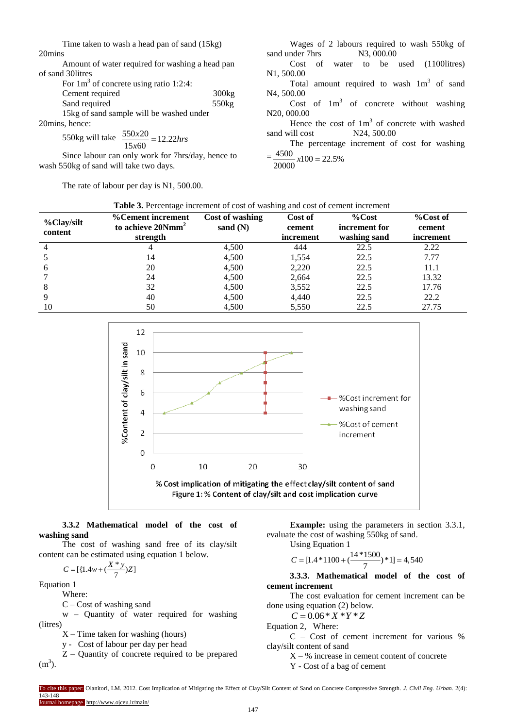Time taken to wash a head pan of sand (15kg) 20mins

Amount of water required for washing a head pan of sand 30litres

| For $1m3$ of concrete using ratio 1:2:4: |       |
|------------------------------------------|-------|
| Cement required                          | 300kg |
| Sand required                            | 550kg |
| 15kg of sand sample will be washed under |       |
| 20mins, hence:                           |       |

550kg will take  $\frac{550x20}{15x60} = 12.22$  $\frac{dx}{dt} = 12.22h$ rs

Since labour can only work for 7hrs/day, hence to wash 550kg of sand will take two days.

The rate of labour per day is N1, 500.00.

Wages of 2 labours required to wash 550kg of  $s$ and under 7hrs  $N3, 000.00$ 

Cost of water to be used (1100litres) N1, 500.00

Total amount required to wash  $1m<sup>3</sup>$  of sand N4, 500.00

Cost of  $1m^3$  of concrete without washing N20, 000.00

Hence the cost of  $1m<sup>3</sup>$  of concrete with washed sand will cost N24, 500.00

The percentage increment of cost for washing  $=\frac{4500}{20000}x100 = 22.5\%$ 

| <b>Table 3.</b> Percentage increment of cost of washing and cost of cement increment |  |
|--------------------------------------------------------------------------------------|--|
|                                                                                      |  |

| %Clay/silt<br>content | <b>%Cement increment</b><br>to achieve 20Nmm <sup>2</sup><br>strength | <b>Cost of washing</b><br>sand $(N)$ | Cost of<br>cement<br>increment | $\%$ Cost<br>increment for<br>washing sand | %Cost of<br>cement<br>increment |
|-----------------------|-----------------------------------------------------------------------|--------------------------------------|--------------------------------|--------------------------------------------|---------------------------------|
|                       |                                                                       | 4,500                                | 444                            | 22.5                                       | 2.22                            |
|                       | 14                                                                    | 4,500                                | 1,554                          | 22.5                                       | 7.77                            |
| 6                     | 20                                                                    | 4,500                                | 2,220                          | 22.5                                       | 11.1                            |
|                       | 24                                                                    | 4,500                                | 2,664                          | 22.5                                       | 13.32                           |
| 8                     | 32                                                                    | 4,500                                | 3,552                          | 22.5                                       | 17.76                           |
|                       | 40                                                                    | 4,500                                | 4,440                          | 22.5                                       | 22.2                            |
| 10                    | 50                                                                    | 4,500                                | 5,550                          | 22.5                                       | 27.75                           |



# **3.3.2 Mathematical model of the cost of washing sand**

The cost of washing sand free of its clay/silt content can be estimated using equation 1 below.

$$
C = [\{1.4w + (\frac{X*y}{7})Z\}]
$$

Equation 1

Where:

C – Cost of washing sand

w – Quantity of water required for washing (litres)

 $X$  – Time taken for washing (hours)

y - Cost of labour per day per head

Z – Quantity of concrete required to be prepared  $(m<sup>3</sup>)$ .

**Example:** using the parameters in section 3.3.1, evaluate the cost of washing 550kg of sand. Using Equation 1

$$
C = [1.4*1100 + (\frac{14*1500}{7})*1] = 4,540
$$

**3.3.3. Mathematical model of the cost of cement increment**

The cost evaluation for cement increment can be done using equation (2) below.

 $C = 0.06 * X * Y * Z$ 

Equation 2, Where:

C – Cost of cement increment for various % clay/silt content of sand

 $X - %$  increase in cement content of concrete

Y - Cost of a bag of cement

To cite this paper: Olanitori, LM. 2012. Cost Implication of Mitigating the Effect of Clay/Silt Content of Sand on Concrete Compressive Strength. *J. Civil Eng. Urban.* 2(4): 143-148 Journal homepage: http://www.ojceu.ir/main/